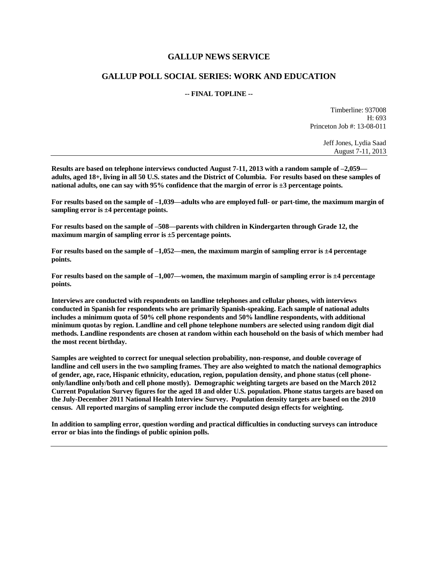## **GALLUP NEWS SERVICE**

## **GALLUP POLL SOCIAL SERIES: WORK AND EDUCATION**

## **-- FINAL TOPLINE --**

Timberline: 937008 H: 693 Princeton Job #: 13-08-011

> Jeff Jones, Lydia Saad August 7-11, 2013

**Results are based on telephone interviews conducted August 7-11, 2013 with a random sample of –2,059 adults, aged 18+, living in all 50 U.S. states and the District of Columbia. For results based on these samples of national adults, one can say with 95% confidence that the margin of error is ±3 percentage points.**

**For results based on the sample of –1,039—adults who are employed full- or part-time, the maximum margin of sampling error is ±4 percentage points.**

**For results based on the sample of –508—parents with children in Kindergarten through Grade 12, the maximum margin of sampling error is ±5 percentage points.**

**For results based on the sample of –1,052—men, the maximum margin of sampling error is ±4 percentage points.**

**For results based on the sample of –1,007—women, the maximum margin of sampling error is ±4 percentage points.**

**Interviews are conducted with respondents on landline telephones and cellular phones, with interviews conducted in Spanish for respondents who are primarily Spanish-speaking. Each sample of national adults includes a minimum quota of 50% cell phone respondents and 50% landline respondents, with additional minimum quotas by region. Landline and cell phone telephone numbers are selected using random digit dial methods. Landline respondents are chosen at random within each household on the basis of which member had the most recent birthday.**

**Samples are weighted to correct for unequal selection probability, non-response, and double coverage of landline and cell users in the two sampling frames. They are also weighted to match the national demographics of gender, age, race, Hispanic ethnicity, education, region, population density, and phone status (cell phoneonly/landline only/both and cell phone mostly). Demographic weighting targets are based on the March 2012 Current Population Survey figures for the aged 18 and older U.S. population. Phone status targets are based on the July-December 2011 National Health Interview Survey. Population density targets are based on the 2010 census. All reported margins of sampling error include the computed design effects for weighting.** 

**In addition to sampling error, question wording and practical difficulties in conducting surveys can introduce error or bias into the findings of public opinion polls.**